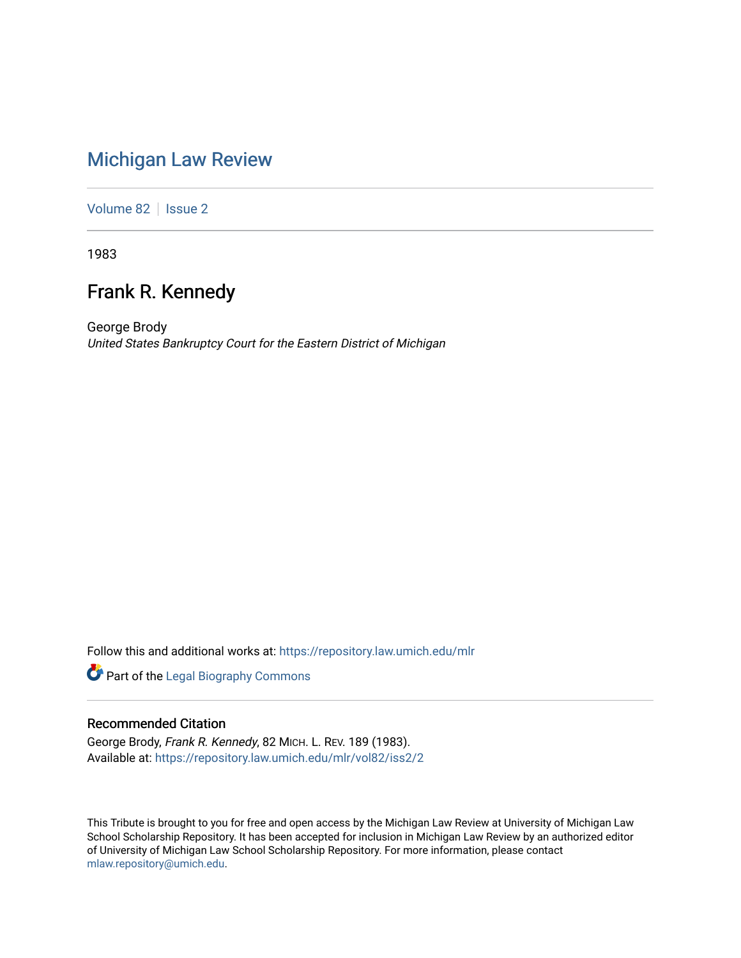# [Michigan Law Review](https://repository.law.umich.edu/mlr)

[Volume 82](https://repository.law.umich.edu/mlr/vol82) | [Issue 2](https://repository.law.umich.edu/mlr/vol82/iss2)

1983

## Frank R. Kennedy

George Brody United States Bankruptcy Court for the Eastern District of Michigan

Follow this and additional works at: [https://repository.law.umich.edu/mlr](https://repository.law.umich.edu/mlr?utm_source=repository.law.umich.edu%2Fmlr%2Fvol82%2Fiss2%2F2&utm_medium=PDF&utm_campaign=PDFCoverPages) 

Part of the [Legal Biography Commons](http://network.bepress.com/hgg/discipline/834?utm_source=repository.law.umich.edu%2Fmlr%2Fvol82%2Fiss2%2F2&utm_medium=PDF&utm_campaign=PDFCoverPages) 

## Recommended Citation

George Brody, Frank R. Kennedy, 82 MICH. L. REV. 189 (1983). Available at: [https://repository.law.umich.edu/mlr/vol82/iss2/2](https://repository.law.umich.edu/mlr/vol82/iss2/2?utm_source=repository.law.umich.edu%2Fmlr%2Fvol82%2Fiss2%2F2&utm_medium=PDF&utm_campaign=PDFCoverPages)

This Tribute is brought to you for free and open access by the Michigan Law Review at University of Michigan Law School Scholarship Repository. It has been accepted for inclusion in Michigan Law Review by an authorized editor of University of Michigan Law School Scholarship Repository. For more information, please contact [mlaw.repository@umich.edu.](mailto:mlaw.repository@umich.edu)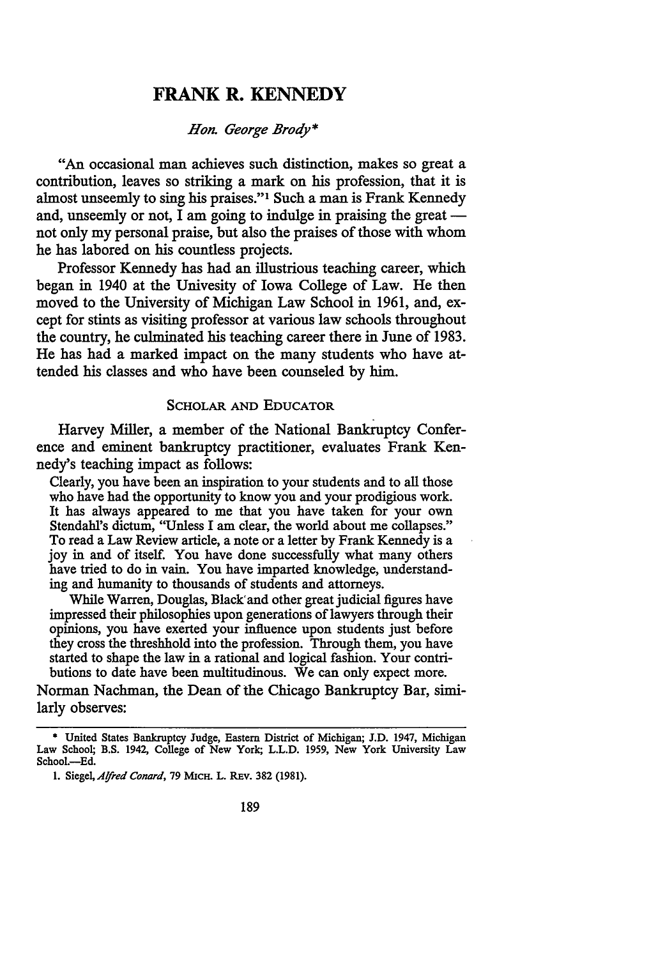## **FRANK R. KENNEDY**

*Hon. George Brody\** 

"An occasional man achieves such distinction, makes so great a contribution, leaves so striking a mark on his profession, that it is almost unseemly to sing his praises."1 Such a man is Frank Kennedy and, unseemly or not, I am going to indulge in praising the great not only my personal praise, but also the praises of those with whom he has labored on his countless projects.

Professor Kennedy has had an illustrious teaching career, which began in 1940 at the Univesity of Iowa College of Law. He then moved to the University of Michigan Law School in 1961, and, except for stints as visiting professor at various law schools throughout the country, he culminated his teaching career there in June of 1983. He has had a marked impact on the many students who have attended his classes and who have been counseled by him.

#### SCHOLAR AND EDUCATOR

Harvey Miller, a member of the National Bankruptcy Conference and eminent bankruptcy practitioner, evaluates Frank Kennedy's teaching impact as follows:

Clearly, you have been an inspiration to your students and to all those who have had the opportunity to know you and your prodigious work. It has always appeared to me that you have taken for your own Stendahl's dictum, "Unless I am clear, the world about me collapses." To read a Law Review article, a note or a letter by Frank Kennedy is a joy in and of itself. You have done successfully what many others have tried to do in vain. You have imparted knowledge, understanding and humanity to thousands of students and attorneys.

While Warren, Douglas, Black' and other great judicial figures have impressed their philosophies upon generations of lawyers through their opinions, you have exerted your influence upon students just before they cross the threshhold into the profession. Through them, you have started to shape the law in a rational and logical fashion. Your contributions to date have been multitudinous. We can only expect more.

Norman Nachman, the Dean of the Chicago Bankruptcy Bar, similarly observes:

<sup>\*</sup> United States Bankruptcy Judge, Eastern District of Michigan; J.D. 1947, Michigan Law School; B.S. 1942, College of New York; L.L.D. 1959, New York University Law School.-Ed.

<sup>1.</sup> Siegel, *Alfred Conard*, 79 MICH. L. REV. 382 (1981).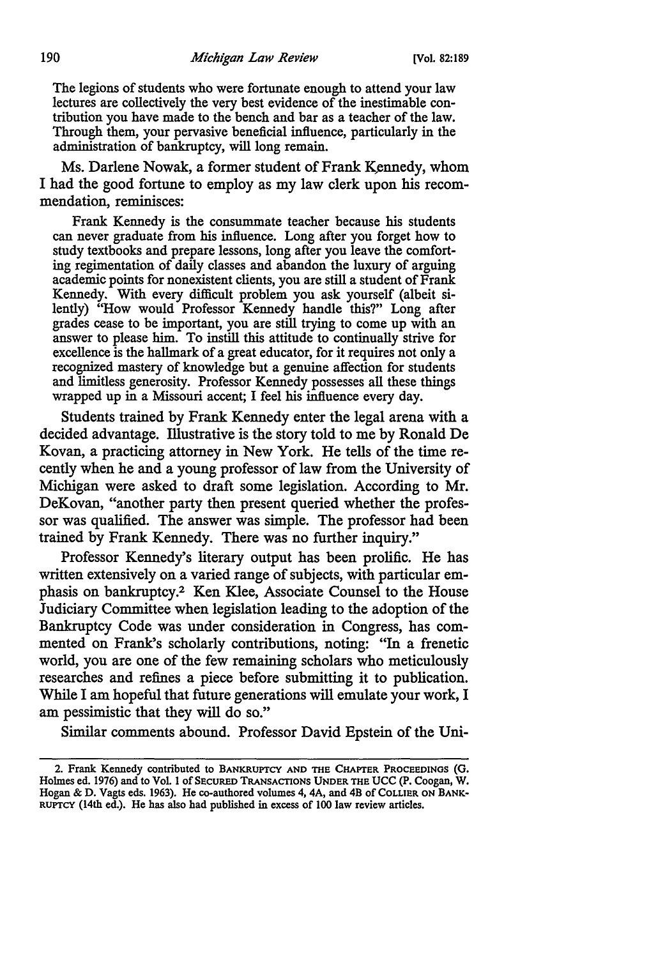The legions of students who were fortunate enough to attend your law lectures are collectively the very best evidence of the inestimable contribution you have made to the bench and bar as a teacher of the law. Through them, your pervasive beneficial influence, particularly in the administration of bankruptcy, will long remain.

Ms. Darlene Nowak, a former student of Frank Kennedy, whom I had the good fortune to employ as my law clerk upon his recommendation, reminisces:

Frank Kennedy is the consummate teacher because his students can never graduate from his influence. Long after you forget how to study textbooks and prepare lessons, long after you leave the comforting regimentation of daily classes and abandon the luxury of arguing academic points for nonexistent clients, you are still a student of Frank Kennedy. With every difficult problem you ask yourself (albeit silently) "How would Professor Kennedy handle this?" Long after grades cease to be important, you are still trying to come up with an answer to please him. To instill this attitude to continually strive for excellence is the hallmark of a great educator, for it requires not only a recognized mastery of knowledge but a genuine affection for students and limitless generosity. Professor Kennedy possesses all these things wrapped up in a Missouri accent; I feel his influence every day.

Students trained by Frank Kennedy enter the legal arena with a decided advantage. Illustrative is the story told to me by Ronald De Kovan, a practicing attorney in New York. He tells of the time recently when he and a young professor of law from the University of Michigan were asked to draft some legislation. According to Mr. DeKovan, "another party then present queried whether the professor was qualified. The answer was simple. The professor had been trained by Frank Kennedy. There was no further inquiry."

Professor Kennedy's literary output has been prolific. He has written extensively on a varied range of subjects, with particular emphasis on bankruptcy.2 Ken Klee, Associate Counsel to the House Judiciary Committee when legislation leading to the adoption of the Bankruptcy Code was under consideration in Congress, has commented on Frank's scholarly contributions, noting: "In a frenetic world, you are one of the few remaining scholars who meticulously researches and refines a piece before submitting it to publication. While I am hopeful that future generations will emulate your work, I am pessimistic that they will do so."

Similar comments abound. Professor David Epstein of the Uni-

<sup>2.</sup> Frank Kennedy contributed to BANKRUPTCY AND THE CHAPTER PROCEEDINGS (G. Holmes ed. 1976) and to Vol. 1 of SECURED TRANSACTIONS UNDER THE UCC (P. Coogan, W. Hogan & D. Vagts eds. 1963). He co-authored volumes 4, 4A, and 4B of COLLIER ON BANK-RUPTCY (14th ed.). He has also had published in excess of 100 law review articles.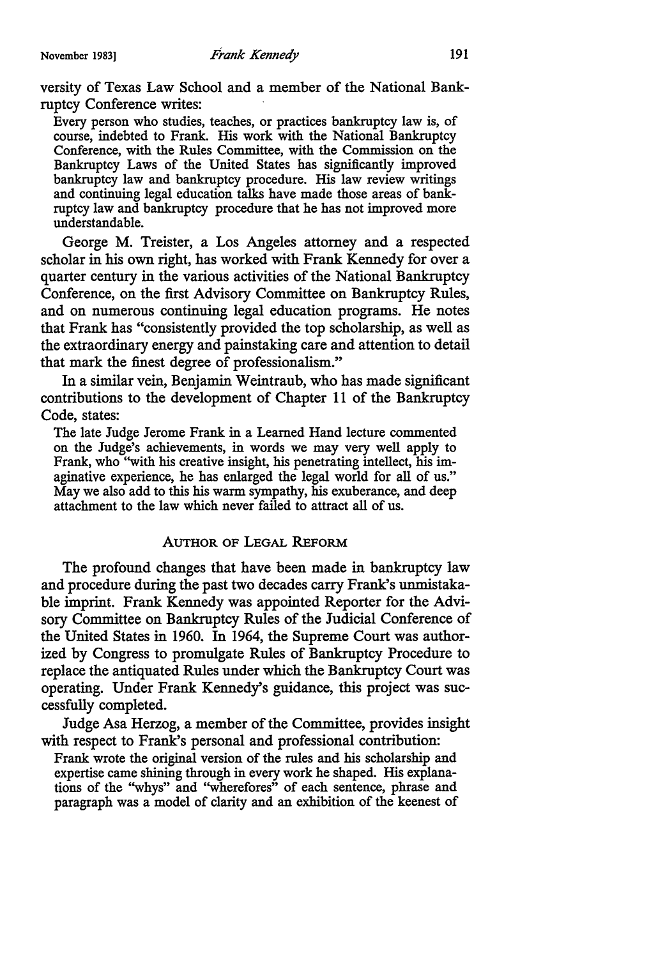versity of Texas Law School and a member of the National Bankruptcy Conference writes:

Every person who studies, teaches, or practices bankruptcy law is, of course, indebted to Frank. His work with the National Bankruptcy Conference, with the Rules Committee, with the Commission on the Bankruptcy Laws of the United States has significantly improved bankruptcy law and bankruptcy procedure. His law review writings and continuing legal education talks have made those areas of bankruptcy law and bankruptcy procedure that he has not improved more understandable.

George M. Treister, a Los Angeles attorney and a respected scholar in his own right, has worked with Frank Kennedy for over a quarter century in the various activities of the National Bankruptcy Conference, on the first Advisory Committee on Bankruptcy Rules, and on numerous continuing legal education programs. He notes that Frank has "consistently provided the top scholarship, as well as the extraordinary energy and painstaking care and attention to detail that mark the finest degree of professionalism."

In a similar vein, Benjamin Weintraub, who has made significant contributions to the development of Chapter 11 of the Bankruptcy Code, states:

The late Judge Jerome Frank in a Learned Hand lecture commented on the Judge's achievements, in words we may very well apply to Frank, who "with his creative insight, his penetrating intellect, his imaginative experience, he has enlarged the legal world for all of us." May we also add to this his warm sympathy, his exuberance, and deep attachment to the law which never failed to attract all of us.

### AUTHOR OF LEGAL REFORM

The profound changes that have been made in bankruptcy law and procedure during the past two decades carry Frank's unmistakable imprint. Frank Kennedy was appointed Reporter for the Advisory Committee on Bankruptcy Rules of the Judicial Conference of the United States in 1960. In 1964, the Supreme Court was authorized by Congress to promulgate Rules of Bankruptcy Procedure to replace the antiquated Rules under which the Bankruptcy Court was operating. Under Frank Kennedy's guidance, this project was successfully completed.

Judge Asa Herzog, a member of the Committee, provides insight with respect to Frank's personal and professional contribution:

Frank wrote the original version of the rules and his scholarship and expertise came shining through in every work he shaped. His explanations of the ''whys" and ''wherefores" of each sentence, phrase and paragraph was a model of clarity and an exhibition of the keenest of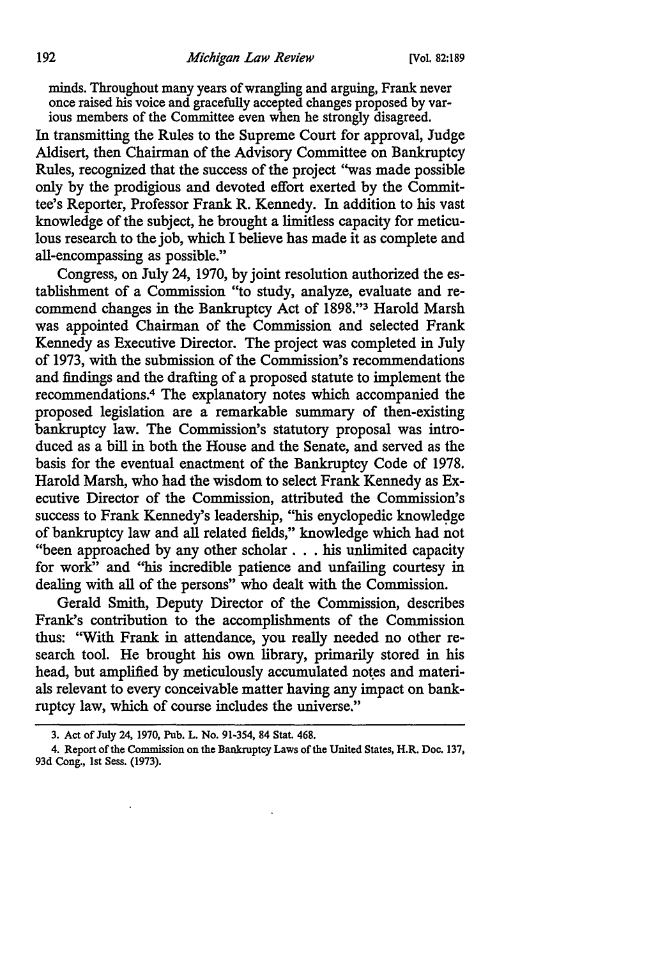minds. Throughout many years of wrangling and arguing, Frank never once raised his voice and gracefully accepted changes proposed by various members of the Committee even when he strongly disagreed.

In transmitting the Rules to the Supreme Court for approval, Judge Aldisert, then Chairman of the Advisory Committee on Bankruptcy Rules, recognized that the success of the project ''was made possible only by the prodigious and devoted effort exerted by the Committee's Reporter, Professor Frank R. Kennedy. In addition to his vast knowledge of the subject, he brought a limitless capacity for meticulous research to the job, which I believe has made it as complete and all-encompassing as possible."

Congress, on July 24, 1970, by joint resolution authorized the establishment of a Commission "to study, analyze, evaluate and recommend changes in the Bankruptcy Act of 1898."3 Harold Marsh was appointed Chairman of the Commission and selected Frank Kennedy as Executive Director. The project was completed in July of 1973, with the submission of the Commission's recommendations and findings and the drafting of a proposed statute to implement the recommendations.4 The explanatory notes which accompanied the proposed legislation are a remarkable summary of then-existing bankruptcy law. The Commission's statutory proposal was introduced as a bill in both the House and the Senate, and served as the basis for the eventual enactment of the Bankruptcy Code of 1978. Harold Marsh, who had the wisdom to select Frank Kennedy as Executive Director of the Commission, attributed the Commission's success to Frank Kennedy's leadership, "his enyclopedic knowledge of bankruptcy law and all related fields," knowledge which had not "been approached by any other scholar ... his unlimited capacity for work" and "his incredible patience and unfailing courtesy in dealing with all of the persons" who dealt with the Commission.

Gerald Smith, Deputy Director of the Commission, describes Frank's contribution to the accomplishments of the Commission thus: ''With Frank in attendance, you really needed no other research tool. He brought his own library, primarily stored in his head, but amplified by meticulously accumulated notes and materials relevant to every conceivable matter having any impact on bankruptcy law, which of course includes the universe."

<sup>3.</sup> Act of July 24, 1970, Pub. L. No. 91-3S4, 84 Stat. 468.

<sup>4.</sup> Report of the Commission on the Bankruptcy Laws of the United States, H.R. Doc. 137, 93d Cong., 1st Sess. (1973).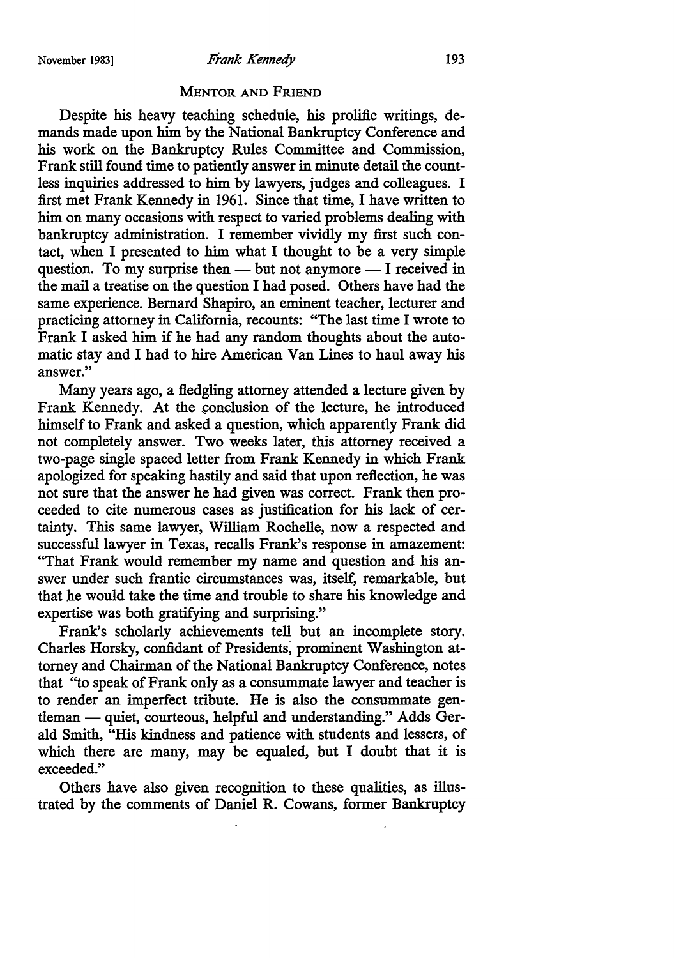November 1983) *Frank Kennedy* 193

#### **MENTOR AND FRIEND**

Despite his heavy teaching schedule, his prolific writings, demands made upon him by the National Bankruptcy Conference and his work on the Bankruptcy Rules Committee and Commission, Frank still found time to patiently answer in minute detail the countless inquiries addressed to him by lawyers, judges and colleagues. I first met Frank Kennedy in 1961. Since that time, I have written to him on many occasions with respect to varied problems dealing with bankruptcy administration. I remember vividly my first such contact, when I presented to him what I thought to be a very simple question. To my surprise then  $-$  but not anymore  $-$  I received in the mail a treatise on the question I had posed. Others have had the same experience. Bernard Shapiro, an eminent teacher, lecturer and practicing attorney in California, recounts: ''The last time I wrote to Frank I asked him if he had any random thoughts about the automatic stay and I had to hire American Van Lines to haul away his answer."

Many years ago, a fledgling attorney attended a lecture given by Frank Kennedy. At the conclusion of the lecture, he introduced himself to Frank and asked a question, which apparently Frank did not completely answer. Two weeks later, this attorney received a two-page single spaced letter from Frank Kennedy in which Frank apologized for speaking hastily and said that upon reflection, he was not sure that the answer he had given was correct. Frank then proceeded to cite numerous cases as justification for his lack of certainty. This same lawyer, William Rochelle, now a respected and successful lawyer in Texas, recalls Frank's response in amazement: "That Frank would remember my name and question and his answer under such frantic circumstances was, itself, remarkable, but that he would take the time and trouble to share his knowledge and expertise was both gratifying and surprising."

Frank's scholarly achievements tell but an incomplete story. Charles Horsky, confidant of Presidents; prominent Washington attorney and Chairman of the National Bankruptcy Conference, notes that "to speak of Frank only as a consummate lawyer and teacher is to render an imperfect tribute. He is also the consummate gentleman — quiet, courteous, helpful and understanding." Adds Gerald Smith, "His kindness and patience with students and lessers, of which there are many, may be equaled, but I doubt that it is exceeded."

Others have also given recognition to these qualities, as illustrated by the comments of Daniel R. Cowans, former Bankruptcy